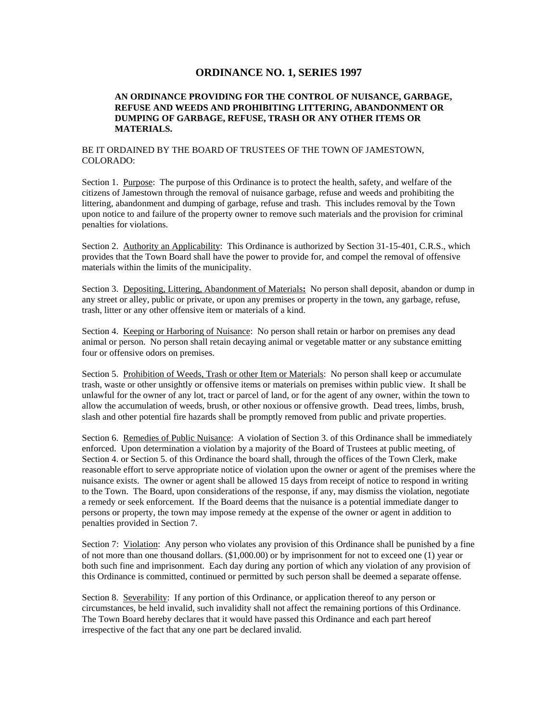# **ORDINANCE NO. 1, SERIES 1997**

### **AN ORDINANCE PROVIDING FOR THE CONTROL OF NUISANCE, GARBAGE, REFUSE AND WEEDS AND PROHIBITING LITTERING, ABANDONMENT OR DUMPING OF GARBAGE, REFUSE, TRASH OR ANY OTHER ITEMS OR MATERIALS.**

### BE IT ORDAINED BY THE BOARD OF TRUSTEES OF THE TOWN OF JAMESTOWN, COLORADO:

Section 1. Purpose: The purpose of this Ordinance is to protect the health, safety, and welfare of the citizens of Jamestown through the removal of nuisance garbage, refuse and weeds and prohibiting the littering, abandonment and dumping of garbage, refuse and trash. This includes removal by the Town upon notice to and failure of the property owner to remove such materials and the provision for criminal penalties for violations.

Section 2. Authority an Applicability: This Ordinance is authorized by Section 31-15-401, C.R.S., which provides that the Town Board shall have the power to provide for, and compel the removal of offensive materials within the limits of the municipality.

Section 3. Depositing, Littering, Abandonment of Materials**:** No person shall deposit, abandon or dump in any street or alley, public or private, or upon any premises or property in the town, any garbage, refuse, trash, litter or any other offensive item or materials of a kind.

Section 4. Keeping or Harboring of Nuisance: No person shall retain or harbor on premises any dead animal or person. No person shall retain decaying animal or vegetable matter or any substance emitting four or offensive odors on premises.

Section 5. Prohibition of Weeds, Trash or other Item or Materials: No person shall keep or accumulate trash, waste or other unsightly or offensive items or materials on premises within public view. It shall be unlawful for the owner of any lot, tract or parcel of land, or for the agent of any owner, within the town to allow the accumulation of weeds, brush, or other noxious or offensive growth. Dead trees, limbs, brush, slash and other potential fire hazards shall be promptly removed from public and private properties.

Section 6. Remedies of Public Nuisance: A violation of Section 3. of this Ordinance shall be immediately enforced. Upon determination a violation by a majority of the Board of Trustees at public meeting, of Section 4. or Section 5. of this Ordinance the board shall, through the offices of the Town Clerk, make reasonable effort to serve appropriate notice of violation upon the owner or agent of the premises where the nuisance exists. The owner or agent shall be allowed 15 days from receipt of notice to respond in writing to the Town. The Board, upon considerations of the response, if any, may dismiss the violation, negotiate a remedy or seek enforcement. If the Board deems that the nuisance is a potential immediate danger to persons or property, the town may impose remedy at the expense of the owner or agent in addition to penalties provided in Section 7.

Section 7: Violation: Any person who violates any provision of this Ordinance shall be punished by a fine of not more than one thousand dollars. (\$1,000.00) or by imprisonment for not to exceed one (1) year or both such fine and imprisonment. Each day during any portion of which any violation of any provision of this Ordinance is committed, continued or permitted by such person shall be deemed a separate offense.

Section 8. Severability: If any portion of this Ordinance, or application thereof to any person or circumstances, be held invalid, such invalidity shall not affect the remaining portions of this Ordinance. The Town Board hereby declares that it would have passed this Ordinance and each part hereof irrespective of the fact that any one part be declared invalid.